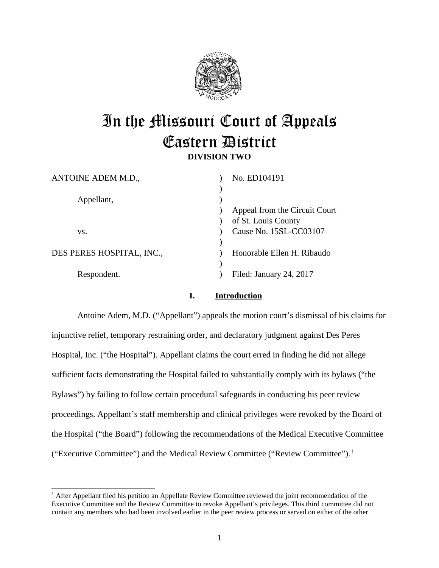

# In the Missouri Court of Appeals Eastern District **DIVISION TWO**

| ANTOINE ADEM M.D.,        | No. ED104191                  |
|---------------------------|-------------------------------|
|                           |                               |
| Appellant,                |                               |
|                           | Appeal from the Circuit Court |
|                           | of St. Louis County           |
| VS.                       | Cause No. 15SL-CC03107        |
|                           |                               |
| DES PERES HOSPITAL, INC., | Honorable Ellen H. Ribaudo    |
|                           |                               |
| Respondent.               | Filed: January 24, 2017       |
|                           |                               |

# **I. Introduction**

Antoine Adem, M.D. ("Appellant") appeals the motion court's dismissal of his claims for injunctive relief, temporary restraining order, and declaratory judgment against Des Peres Hospital, Inc. ("the Hospital"). Appellant claims the court erred in finding he did not allege sufficient facts demonstrating the Hospital failed to substantially comply with its bylaws ("the Bylaws") by failing to follow certain procedural safeguards in conducting his peer review proceedings. Appellant's staff membership and clinical privileges were revoked by the Board of the Hospital ("the Board") following the recommendations of the Medical Executive Committee ("Executive Committee") and the Medical Review Committee ("Review Committee").<sup>[1](#page-0-0)</sup>

<span id="page-0-0"></span> $<sup>1</sup>$  After Appellant filed his petition an Appellate Review Committee reviewed the joint recommendation of the</sup> Executive Committee and the Review Committee to revoke Appellant's privileges. This third committee did not contain any members who had been involved earlier in the peer review process or served on either of the other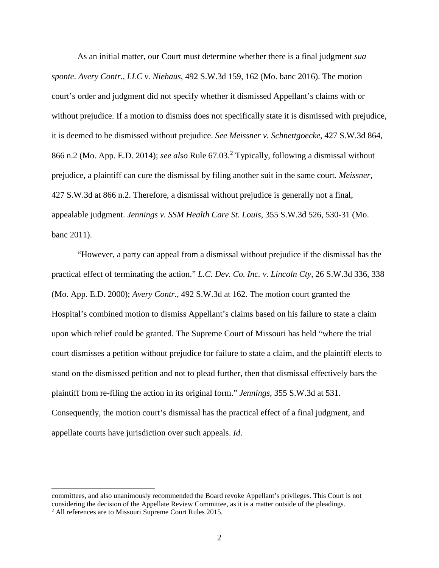As an initial matter, our Court must determine whether there is a final judgment *sua sponte*. *Avery Contr., LLC v. Niehaus*, 492 S.W.3d 159, 162 (Mo. banc 2016). The motion court's order and judgment did not specify whether it dismissed Appellant's claims with or without prejudice. If a motion to dismiss does not specifically state it is dismissed with prejudice, it is deemed to be dismissed without prejudice. *See Meissner v. Schnettgoecke*, 427 S.W.3d 864, 866 n.2 (Mo. App. E.D. 2014); *see also* Rule 67.03.[2](#page-1-0) Typically, following a dismissal without prejudice, a plaintiff can cure the dismissal by filing another suit in the same court. *Meissner*, 427 S.W.3d at 866 n.2. Therefore, a dismissal without prejudice is generally not a final, appealable judgment. *Jennings v. SSM Health Care St. Louis*, 355 S.W.3d 526, 530-31 (Mo. banc 2011).

"However, a party can appeal from a dismissal without prejudice if the dismissal has the practical effect of terminating the action." *L.C. Dev. Co. Inc. v. Lincoln Cty*, 26 S.W.3d 336, 338 (Mo. App. E.D. 2000); *Avery Contr*., 492 S.W.3d at 162. The motion court granted the Hospital's combined motion to dismiss Appellant's claims based on his failure to state a claim upon which relief could be granted. The Supreme Court of Missouri has held "where the trial court dismisses a petition without prejudice for failure to state a claim, and the plaintiff elects to stand on the dismissed petition and not to plead further, then that dismissal effectively bars the plaintiff from re-filing the action in its original form." *Jennings*, 355 S.W.3d at 531. Consequently, the motion court's dismissal has the practical effect of a final judgment, and appellate courts have jurisdiction over such appeals. *Id*.

<span id="page-1-0"></span>j committees, and also unanimously recommended the Board revoke Appellant's privileges. This Court is not considering the decision of the Appellate Review Committee, as it is a matter outside of the pleadings. 2 All references are to Missouri Supreme Court Rules 2015.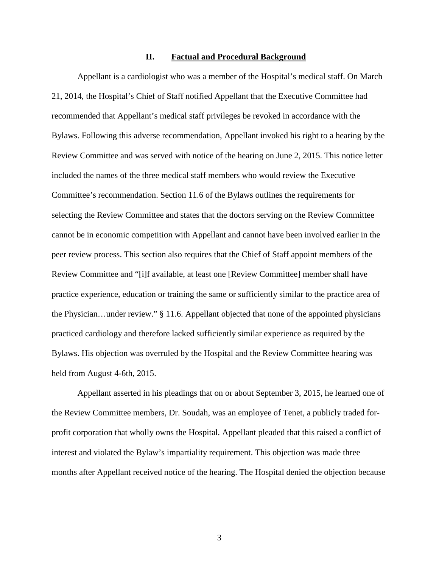#### **II. Factual and Procedural Background**

Appellant is a cardiologist who was a member of the Hospital's medical staff. On March 21, 2014, the Hospital's Chief of Staff notified Appellant that the Executive Committee had recommended that Appellant's medical staff privileges be revoked in accordance with the Bylaws. Following this adverse recommendation, Appellant invoked his right to a hearing by the Review Committee and was served with notice of the hearing on June 2, 2015. This notice letter included the names of the three medical staff members who would review the Executive Committee's recommendation. Section 11.6 of the Bylaws outlines the requirements for selecting the Review Committee and states that the doctors serving on the Review Committee cannot be in economic competition with Appellant and cannot have been involved earlier in the peer review process. This section also requires that the Chief of Staff appoint members of the Review Committee and "[i]f available, at least one [Review Committee] member shall have practice experience, education or training the same or sufficiently similar to the practice area of the Physician…under review." § 11.6. Appellant objected that none of the appointed physicians practiced cardiology and therefore lacked sufficiently similar experience as required by the Bylaws. His objection was overruled by the Hospital and the Review Committee hearing was held from August 4-6th, 2015.

Appellant asserted in his pleadings that on or about September 3, 2015, he learned one of the Review Committee members, Dr. Soudah, was an employee of Tenet, a publicly traded forprofit corporation that wholly owns the Hospital. Appellant pleaded that this raised a conflict of interest and violated the Bylaw's impartiality requirement. This objection was made three months after Appellant received notice of the hearing. The Hospital denied the objection because

3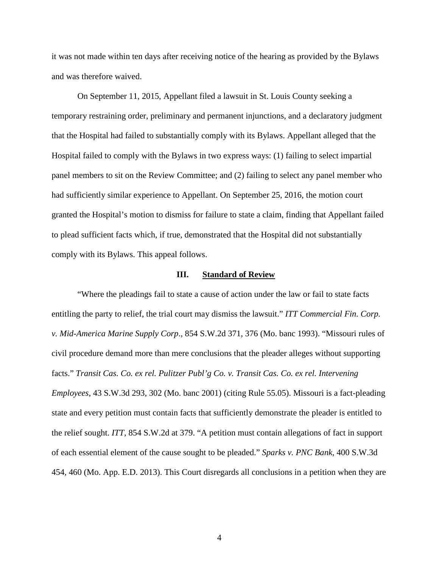it was not made within ten days after receiving notice of the hearing as provided by the Bylaws and was therefore waived.

On September 11, 2015, Appellant filed a lawsuit in St. Louis County seeking a temporary restraining order, preliminary and permanent injunctions, and a declaratory judgment that the Hospital had failed to substantially comply with its Bylaws. Appellant alleged that the Hospital failed to comply with the Bylaws in two express ways: (1) failing to select impartial panel members to sit on the Review Committee; and (2) failing to select any panel member who had sufficiently similar experience to Appellant. On September 25, 2016, the motion court granted the Hospital's motion to dismiss for failure to state a claim, finding that Appellant failed to plead sufficient facts which, if true, demonstrated that the Hospital did not substantially comply with its Bylaws. This appeal follows.

#### **III. Standard of Review**

"Where the pleadings fail to state a cause of action under the law or fail to state facts entitling the party to relief, the trial court may dismiss the lawsuit." *ITT Commercial Fin. Corp. v. Mid-America Marine Supply Corp*., 854 S.W.2d 371, 376 (Mo. banc 1993). "Missouri rules of civil procedure demand more than mere conclusions that the pleader alleges without supporting facts." *Transit Cas. Co. ex rel. Pulitzer Publ'g Co. v. Transit Cas. Co. ex rel. Intervening Employees*, 43 S.W.3d 293, 302 (Mo. banc 2001) (citing Rule 55.05). Missouri is a fact-pleading state and every petition must contain facts that sufficiently demonstrate the pleader is entitled to the relief sought. *ITT,* 854 S.W.2d at 379. "A petition must contain allegations of fact in support of each essential element of the cause sought to be pleaded." *Sparks v. PNC Bank*, 400 S.W.3d 454, 460 (Mo. App. E.D. 2013). This Court disregards all conclusions in a petition when they are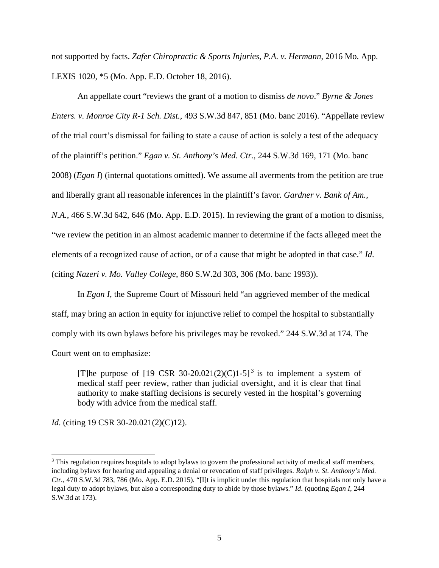not supported by facts. *Zafer Chiropractic & Sports Injuries, P.A. v. Hermann*, 2016 Mo. App. LEXIS 1020, \*5 (Mo. App. E.D. October 18, 2016).

An appellate court "reviews the grant of a motion to dismiss *de novo*." *Byrne & Jones Enters. v. Monroe City R-1 Sch. Dist.*, 493 S.W.3d 847, 851 (Mo. banc 2016). "Appellate review of the trial court's dismissal for failing to state a cause of action is solely a test of the adequacy of the plaintiff's petition." *Egan v. St. Anthony's Med. Ctr.*, 244 S.W.3d 169, 171 (Mo. banc 2008) (*Egan I*) (internal quotations omitted). We assume all averments from the petition are true and liberally grant all reasonable inferences in the plaintiff's favor. *Gardner v. Bank of Am., N.A.*, 466 S.W.3d 642, 646 (Mo. App. E.D. 2015). In reviewing the grant of a motion to dismiss, "we review the petition in an almost academic manner to determine if the facts alleged meet the elements of a recognized cause of action, or of a cause that might be adopted in that case." *Id*. (citing *Nazeri v. Mo. Valley College*, 860 S.W.2d 303, 306 (Mo. banc 1993)).

In *Egan I*, the Supreme Court of Missouri held "an aggrieved member of the medical staff, may bring an action in equity for injunctive relief to compel the hospital to substantially comply with its own bylaws before his privileges may be revoked." 244 S.W.3d at 174. The Court went on to emphasize:

[T]he purpose of [19 CSR [3](#page-4-0)0-20.021(2)(C)1-5]<sup>3</sup> is to implement a system of medical staff peer review, rather than judicial oversight, and it is clear that final authority to make staffing decisions is securely vested in the hospital's governing body with advice from the medical staff.

*Id.* (citing 19 CSR 30-20.021(2)(C)12).

<span id="page-4-0"></span><sup>&</sup>lt;sup>3</sup> This regulation requires hospitals to adopt bylaws to govern the professional activity of medical staff members, including bylaws for hearing and appealing a denial or revocation of staff privileges. *Ralph v. St. Anthony's Med. Ctr.*, 470 S.W.3d 783, 786 (Mo. App. E.D. 2015). "[I]t is implicit under this regulation that hospitals not only have a legal duty to adopt bylaws, but also a corresponding duty to abide by those bylaws." *Id*. (quoting *Egan I*, 244 S.W.3d at 173).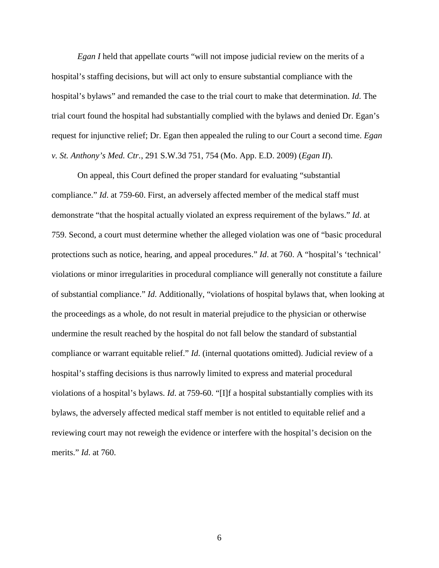*Egan I* held that appellate courts "will not impose judicial review on the merits of a hospital's staffing decisions, but will act only to ensure substantial compliance with the hospital's bylaws" and remanded the case to the trial court to make that determination. *Id*. The trial court found the hospital had substantially complied with the bylaws and denied Dr. Egan's request for injunctive relief; Dr. Egan then appealed the ruling to our Court a second time. *Egan v. St. Anthony's Med. Ctr.*, 291 S.W.3d 751, 754 (Mo. App. E.D. 2009) (*Egan II*).

On appeal, this Court defined the proper standard for evaluating "substantial compliance." *Id*. at 759-60. First, an adversely affected member of the medical staff must demonstrate "that the hospital actually violated an express requirement of the bylaws." *Id*. at 759. Second, a court must determine whether the alleged violation was one of "basic procedural protections such as notice, hearing, and appeal procedures." *Id*. at 760. A "hospital's 'technical' violations or minor irregularities in procedural compliance will generally not constitute a failure of substantial compliance." *Id*. Additionally, "violations of hospital bylaws that, when looking at the proceedings as a whole, do not result in material prejudice to the physician or otherwise undermine the result reached by the hospital do not fall below the standard of substantial compliance or warrant equitable relief." *Id*. (internal quotations omitted). Judicial review of a hospital's staffing decisions is thus narrowly limited to express and material procedural violations of a hospital's bylaws. *Id*. at 759-60. "[I]f a hospital substantially complies with its bylaws, the adversely affected medical staff member is not entitled to equitable relief and a reviewing court may not reweigh the evidence or interfere with the hospital's decision on the merits." *Id*. at 760.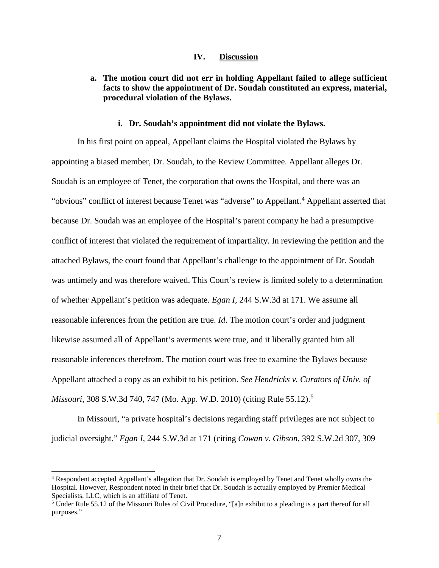#### **IV. Discussion**

## **a. The motion court did not err in holding Appellant failed to allege sufficient facts to show the appointment of Dr. Soudah constituted an express, material, procedural violation of the Bylaws.**

#### **i. Dr. Soudah's appointment did not violate the Bylaws.**

In his first point on appeal, Appellant claims the Hospital violated the Bylaws by appointing a biased member, Dr. Soudah, to the Review Committee. Appellant alleges Dr. Soudah is an employee of Tenet, the corporation that owns the Hospital, and there was an "obvious" conflict of interest because Tenet was "adverse" to Appellant.<sup>[4](#page-6-0)</sup> Appellant asserted that because Dr. Soudah was an employee of the Hospital's parent company he had a presumptive conflict of interest that violated the requirement of impartiality. In reviewing the petition and the attached Bylaws, the court found that Appellant's challenge to the appointment of Dr. Soudah was untimely and was therefore waived. This Court's review is limited solely to a determination of whether Appellant's petition was adequate. *Egan I,* 244 S.W.3d at 171. We assume all reasonable inferences from the petition are true. *Id*. The motion court's order and judgment likewise assumed all of Appellant's averments were true, and it liberally granted him all reasonable inferences therefrom. The motion court was free to examine the Bylaws because Appellant attached a copy as an exhibit to his petition. *See Hendricks v. Curators of Univ. of Missouri*, 308 S.W.3d 740, 747 (Mo. App. W.D. 2010) (citing Rule [5](#page-6-1)5.12).<sup>5</sup>

In Missouri, "a private hospital's decisions regarding staff privileges are not subject to judicial oversight." *Egan I*, 244 S.W.3d at 171 (citing *Cowan v. Gibson*, 392 S.W.2d 307, 309

<span id="page-6-0"></span><sup>4</sup> Respondent accepted Appellant's allegation that Dr. Soudah is employed by Tenet and Tenet wholly owns the Hospital. However, Respondent noted in their brief that Dr. Soudah is actually employed by Premier Medical Specialists, LLC, which is an affiliate of Tenet.

<span id="page-6-1"></span><sup>&</sup>lt;sup>5</sup> Under Rule 55.12 of the Missouri Rules of Civil Procedure, "[a]n exhibit to a pleading is a part thereof for all purposes."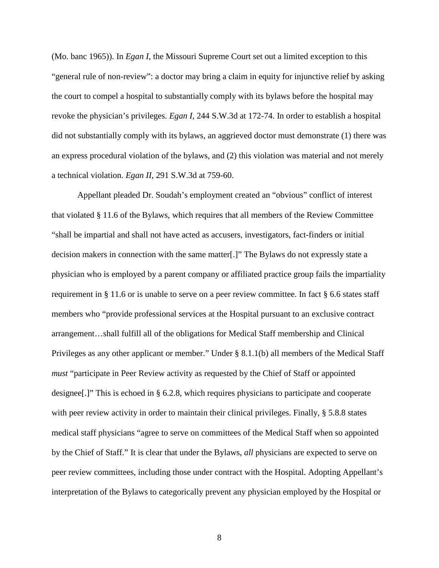(Mo. banc 1965)). In *Egan I*, the Missouri Supreme Court set out a limited exception to this "general rule of non-review": a doctor may bring a claim in equity for injunctive relief by asking the court to compel a hospital to substantially comply with its bylaws before the hospital may revoke the physician's privileges. *Egan I*, 244 S.W.3d at 172-74. In order to establish a hospital did not substantially comply with its bylaws, an aggrieved doctor must demonstrate (1) there was an express procedural violation of the bylaws, and (2) this violation was material and not merely a technical violation. *Egan II*, 291 S.W.3d at 759-60.

Appellant pleaded Dr. Soudah's employment created an "obvious" conflict of interest that violated § 11.6 of the Bylaws, which requires that all members of the Review Committee "shall be impartial and shall not have acted as accusers, investigators, fact-finders or initial decision makers in connection with the same matter[.]" The Bylaws do not expressly state a physician who is employed by a parent company or affiliated practice group fails the impartiality requirement in § 11.6 or is unable to serve on a peer review committee. In fact § 6.6 states staff members who "provide professional services at the Hospital pursuant to an exclusive contract arrangement…shall fulfill all of the obligations for Medical Staff membership and Clinical Privileges as any other applicant or member." Under § 8.1.1(b) all members of the Medical Staff *must* "participate in Peer Review activity as requested by the Chief of Staff or appointed designee[.]" This is echoed in § 6.2.8, which requires physicians to participate and cooperate with peer review activity in order to maintain their clinical privileges. Finally, § 5.8.8 states medical staff physicians "agree to serve on committees of the Medical Staff when so appointed by the Chief of Staff." It is clear that under the Bylaws, *all* physicians are expected to serve on peer review committees, including those under contract with the Hospital. Adopting Appellant's interpretation of the Bylaws to categorically prevent any physician employed by the Hospital or

8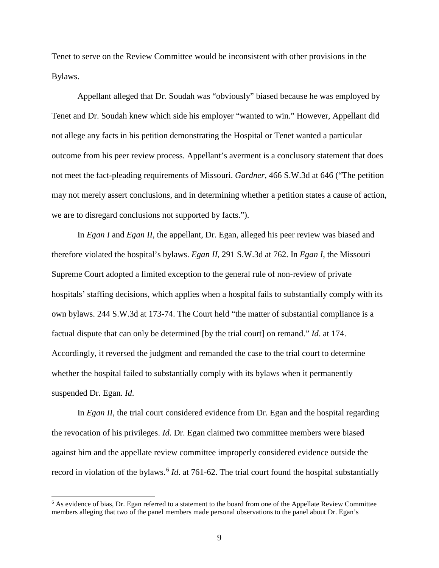Tenet to serve on the Review Committee would be inconsistent with other provisions in the Bylaws.

Appellant alleged that Dr. Soudah was "obviously" biased because he was employed by Tenet and Dr. Soudah knew which side his employer "wanted to win." However, Appellant did not allege any facts in his petition demonstrating the Hospital or Tenet wanted a particular outcome from his peer review process. Appellant's averment is a conclusory statement that does not meet the fact-pleading requirements of Missouri. *Gardner*, 466 S.W.3d at 646 ("The petition may not merely assert conclusions, and in determining whether a petition states a cause of action, we are to disregard conclusions not supported by facts.").

In *Egan I* and *Egan II*, the appellant, Dr. Egan, alleged his peer review was biased and therefore violated the hospital's bylaws. *Egan II*, 291 S.W.3d at 762. In *Egan I*, the Missouri Supreme Court adopted a limited exception to the general rule of non-review of private hospitals' staffing decisions, which applies when a hospital fails to substantially comply with its own bylaws. 244 S.W.3d at 173-74. The Court held "the matter of substantial compliance is a factual dispute that can only be determined [by the trial court] on remand." *Id*. at 174. Accordingly, it reversed the judgment and remanded the case to the trial court to determine whether the hospital failed to substantially comply with its bylaws when it permanently suspended Dr. Egan. *Id*.

In *Egan II*, the trial court considered evidence from Dr. Egan and the hospital regarding the revocation of his privileges. *Id*. Dr. Egan claimed two committee members were biased against him and the appellate review committee improperly considered evidence outside the record in violation of the bylaws.<sup>[6](#page-8-0)</sup> *Id*. at 761-62. The trial court found the hospital substantially

<span id="page-8-0"></span><sup>&</sup>lt;sup>6</sup> As evidence of bias, Dr. Egan referred to a statement to the board from one of the Appellate Review Committee members alleging that two of the panel members made personal observations to the panel about Dr. Egan's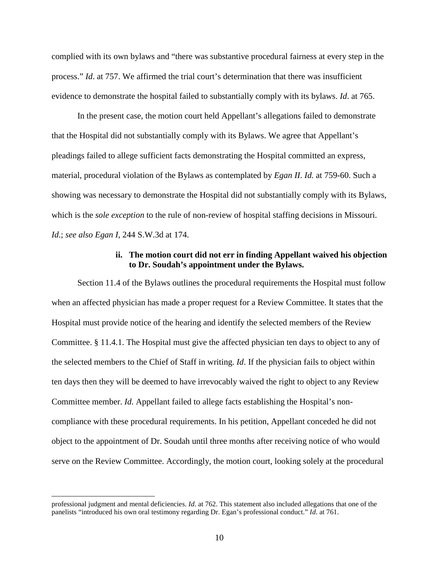complied with its own bylaws and "there was substantive procedural fairness at every step in the process." *Id*. at 757. We affirmed the trial court's determination that there was insufficient evidence to demonstrate the hospital failed to substantially comply with its bylaws. *Id*. at 765.

In the present case, the motion court held Appellant's allegations failed to demonstrate that the Hospital did not substantially comply with its Bylaws. We agree that Appellant's pleadings failed to allege sufficient facts demonstrating the Hospital committed an express, material, procedural violation of the Bylaws as contemplated by *Egan II*. *Id.* at 759-60. Such a showing was necessary to demonstrate the Hospital did not substantially comply with its Bylaws, which is the *sole exception* to the rule of non-review of hospital staffing decisions in Missouri. *Id*.; *see also Egan I*, 244 S.W.3d at 174.

#### **ii. The motion court did not err in finding Appellant waived his objection to Dr. Soudah's appointment under the Bylaws.**

Section 11.4 of the Bylaws outlines the procedural requirements the Hospital must follow when an affected physician has made a proper request for a Review Committee. It states that the Hospital must provide notice of the hearing and identify the selected members of the Review Committee. § 11.4.1. The Hospital must give the affected physician ten days to object to any of the selected members to the Chief of Staff in writing. *Id*. If the physician fails to object within ten days then they will be deemed to have irrevocably waived the right to object to any Review Committee member. *Id*. Appellant failed to allege facts establishing the Hospital's noncompliance with these procedural requirements. In his petition, Appellant conceded he did not object to the appointment of Dr. Soudah until three months after receiving notice of who would serve on the Review Committee. Accordingly, the motion court, looking solely at the procedural

j professional judgment and mental deficiencies. *Id*. at 762. This statement also included allegations that one of the panelists "introduced his own oral testimony regarding Dr. Egan's professional conduct." *Id*. at 761.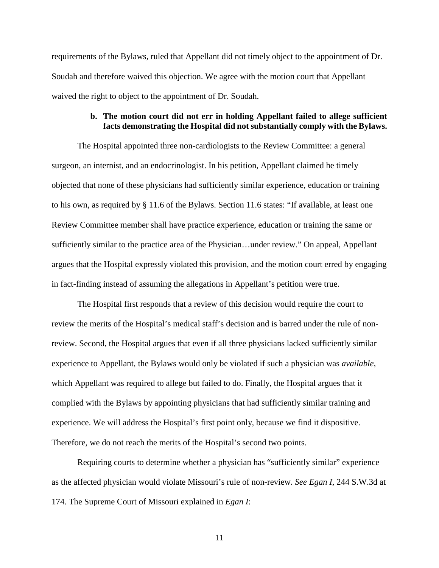requirements of the Bylaws, ruled that Appellant did not timely object to the appointment of Dr. Soudah and therefore waived this objection. We agree with the motion court that Appellant waived the right to object to the appointment of Dr. Soudah.

### **b. The motion court did not err in holding Appellant failed to allege sufficient facts demonstrating the Hospital did not substantially comply with the Bylaws.**

The Hospital appointed three non-cardiologists to the Review Committee: a general surgeon, an internist, and an endocrinologist. In his petition, Appellant claimed he timely objected that none of these physicians had sufficiently similar experience, education or training to his own, as required by § 11.6 of the Bylaws. Section 11.6 states: "If available, at least one Review Committee member shall have practice experience, education or training the same or sufficiently similar to the practice area of the Physician…under review." On appeal, Appellant argues that the Hospital expressly violated this provision, and the motion court erred by engaging in fact-finding instead of assuming the allegations in Appellant's petition were true.

The Hospital first responds that a review of this decision would require the court to review the merits of the Hospital's medical staff's decision and is barred under the rule of nonreview. Second, the Hospital argues that even if all three physicians lacked sufficiently similar experience to Appellant, the Bylaws would only be violated if such a physician was *available*, which Appellant was required to allege but failed to do. Finally, the Hospital argues that it complied with the Bylaws by appointing physicians that had sufficiently similar training and experience. We will address the Hospital's first point only, because we find it dispositive. Therefore, we do not reach the merits of the Hospital's second two points.

Requiring courts to determine whether a physician has "sufficiently similar" experience as the affected physician would violate Missouri's rule of non-review. *See Egan I*, 244 S.W.3d at 174. The Supreme Court of Missouri explained in *Egan I*:

11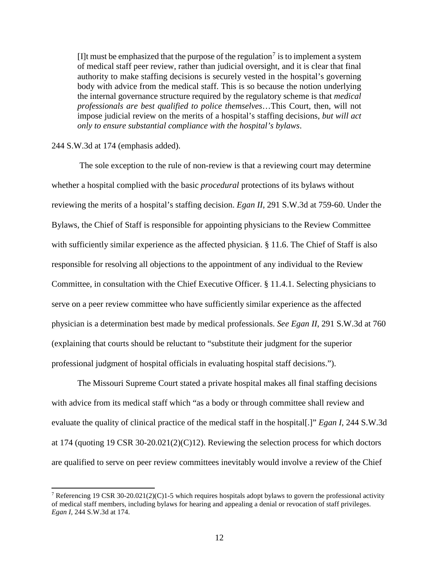[I]t must be emphasized that the purpose of the regulation<sup>[7](#page-11-0)</sup> is to implement a system of medical staff peer review, rather than judicial oversight, and it is clear that final authority to make staffing decisions is securely vested in the hospital's governing body with advice from the medical staff. This is so because the notion underlying the internal governance structure required by the regulatory scheme is that *medical professionals are best qualified to police themselves*…This Court, then, will not impose judicial review on the merits of a hospital's staffing decisions, *but will act only to ensure substantial compliance with the hospital's bylaws*.

#### 244 S.W.3d at 174 (emphasis added).

The sole exception to the rule of non-review is that a reviewing court may determine whether a hospital complied with the basic *procedural* protections of its bylaws without reviewing the merits of a hospital's staffing decision. *Egan II*, 291 S.W.3d at 759-60. Under the Bylaws, the Chief of Staff is responsible for appointing physicians to the Review Committee with sufficiently similar experience as the affected physician. § 11.6. The Chief of Staff is also responsible for resolving all objections to the appointment of any individual to the Review Committee, in consultation with the Chief Executive Officer. § 11.4.1. Selecting physicians to serve on a peer review committee who have sufficiently similar experience as the affected physician is a determination best made by medical professionals. *See Egan II*, 291 S.W.3d at 760 (explaining that courts should be reluctant to "substitute their judgment for the superior professional judgment of hospital officials in evaluating hospital staff decisions.").

The Missouri Supreme Court stated a private hospital makes all final staffing decisions with advice from its medical staff which "as a body or through committee shall review and evaluate the quality of clinical practice of the medical staff in the hospital[.]" *Egan I*, 244 S.W.3d at 174 (quoting 19 CSR 30-20.021(2)(C)12). Reviewing the selection process for which doctors are qualified to serve on peer review committees inevitably would involve a review of the Chief

<span id="page-11-0"></span><sup>&</sup>lt;sup>7</sup> Referencing 19 CSR 30-20.021(2)(C)1-5 which requires hospitals adopt bylaws to govern the professional activity of medical staff members, including bylaws for hearing and appealing a denial or revocation of staff privileges. *Egan I*, 244 S.W.3d at 174.